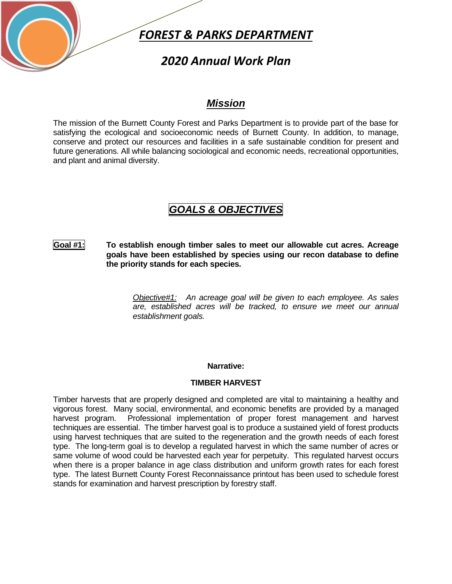

## *2020 Annual Work Plan*

### *Mission*

The mission of the Burnett County Forest and Parks Department is to provide part of the base for satisfying the ecological and socioeconomic needs of Burnett County. In addition, to manage, conserve and protect our resources and facilities in a safe sustainable condition for present and future generations. All while balancing sociological and economic needs, recreational opportunities, and plant and animal diversity.

# *GOALS & OBJECTIVES*

### **Goal #1: To establish enough timber sales to meet our allowable cut acres. Acreage goals have been established by species using our recon database to define the priority stands for each species.**

*Objective#1: An acreage goal will be given to each employee. As sales are, established acres will be tracked, to ensure we meet our annual establishment goals.*

### **Narrative:**

#### **TIMBER HARVEST**

Timber harvests that are properly designed and completed are vital to maintaining a healthy and vigorous forest. Many social, environmental, and economic benefits are provided by a managed harvest program. Professional implementation of proper forest management and harvest techniques are essential. The timber harvest goal is to produce a sustained yield of forest products using harvest techniques that are suited to the regeneration and the growth needs of each forest type. The long-term goal is to develop a regulated harvest in which the same number of acres or same volume of wood could be harvested each year for perpetuity. This regulated harvest occurs when there is a proper balance in age class distribution and uniform growth rates for each forest type. The latest Burnett County Forest Reconnaissance printout has been used to schedule forest stands for examination and harvest prescription by forestry staff.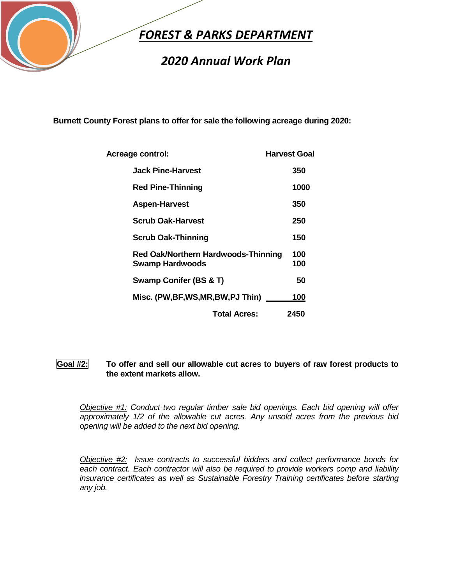

# *2020 Annual Work Plan*

**Burnett County Forest plans to offer for sale the following acreage during 2020:**

| Acreage control:                                                     | <b>Harvest Goal</b> |
|----------------------------------------------------------------------|---------------------|
| <b>Jack Pine-Harvest</b>                                             | 350                 |
| <b>Red Pine-Thinning</b>                                             | 1000                |
| <b>Aspen-Harvest</b>                                                 | 350                 |
| <b>Scrub Oak-Harvest</b>                                             | 250                 |
| <b>Scrub Oak-Thinning</b>                                            | 150                 |
| <b>Red Oak/Northern Hardwoods-Thinning</b><br><b>Swamp Hardwoods</b> | 100<br>100          |
| Swamp Conifer (BS & T)                                               | 50                  |
| Misc. (PW, BF, WS, MR, BW, PJ Thin)                                  | 100                 |
| <b>Total Acres:</b>                                                  | 2450                |

### **Goal #2: To offer and sell our allowable cut acres to buyers of raw forest products to the extent markets allow.**

*Objective #1: Conduct two regular timber sale bid openings. Each bid opening will offer approximately 1/2 of the allowable cut acres. Any unsold acres from the previous bid opening will be added to the next bid opening.*

*Objective #2: Issue contracts to successful bidders and collect performance bonds for each contract. Each contractor will also be required to provide workers comp and liability insurance certificates as well as Sustainable Forestry Training certificates before starting any job.*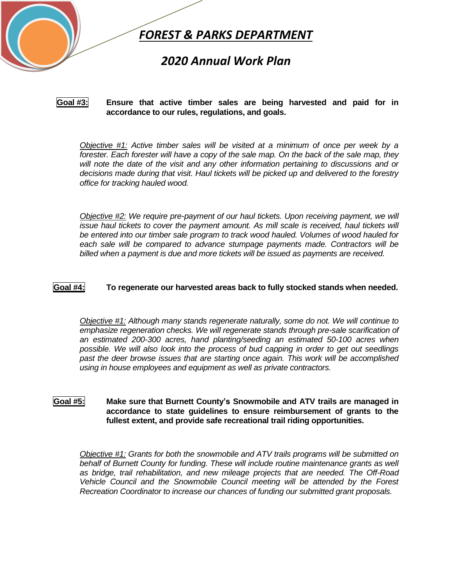

## *2020 Annual Work Plan*

#### **Goal #3: Ensure that active timber sales are being harvested and paid for in accordance to our rules, regulations, and goals.**

*Objective #1: Active timber sales will be visited at a minimum of once per week by a forester. Each forester will have a copy of the sale map. On the back of the sale map, they will note the date of the visit and any other information pertaining to discussions and or decisions made during that visit. Haul tickets will be picked up and delivered to the forestry office for tracking hauled wood.*

*Objective #2: We require pre-payment of our haul tickets. Upon receiving payment, we will issue haul tickets to cover the payment amount. As mill scale is received, haul tickets will be entered into our timber sale program to track wood hauled. Volumes of wood hauled for each sale will be compared to advance stumpage payments made. Contractors will be billed when a payment is due and more tickets will be issued as payments are received.*

#### **Goal #4: To regenerate our harvested areas back to fully stocked stands when needed.**

*Objective #1: Although many stands regenerate naturally, some do not. We will continue to emphasize regeneration checks. We will regenerate stands through pre-sale scarification of an estimated 200-300 acres, hand planting/seeding an estimated 50-100 acres when possible. We will also look into the process of bud capping in order to get out seedlings past the deer browse issues that are starting once again. This work will be accomplished using in house employees and equipment as well as private contractors.*

### **Goal #5: Make sure that Burnett County's Snowmobile and ATV trails are managed in accordance to state guidelines to ensure reimbursement of grants to the fullest extent, and provide safe recreational trail riding opportunities.**

*Objective #1: Grants for both the snowmobile and ATV trails programs will be submitted on*  behalf of Burnett County for funding. These will include routine maintenance grants as well *as bridge, trail rehabilitation, and new mileage projects that are needed. The Off-Road Vehicle Council and the Snowmobile Council meeting will be attended by the Forest Recreation Coordinator to increase our chances of funding our submitted grant proposals.*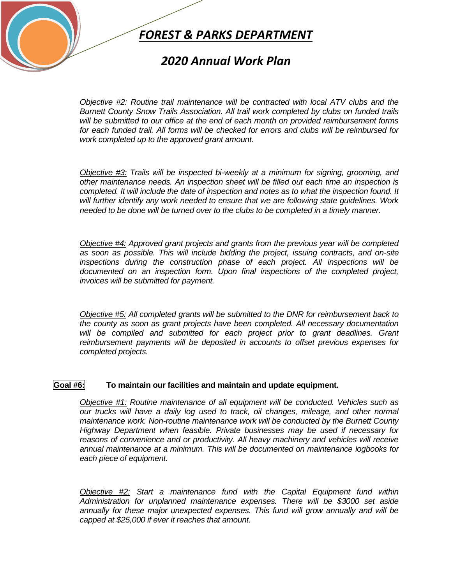

### *2020 Annual Work Plan*

*Objective #2: Routine trail maintenance will be contracted with local ATV clubs and the Burnett County Snow Trails Association. All trail work completed by clubs on funded trails will be submitted to our office at the end of each month on provided reimbursement forms for each funded trail. All forms will be checked for errors and clubs will be reimbursed for work completed up to the approved grant amount.*

*Objective #3: Trails will be inspected bi-weekly at a minimum for signing, grooming, and other maintenance needs. An inspection sheet will be filled out each time an inspection is completed. It will include the date of inspection and notes as to what the inspection found. It will further identify any work needed to ensure that we are following state guidelines. Work needed to be done will be turned over to the clubs to be completed in a timely manner.*

*Objective #4: Approved grant projects and grants from the previous year will be completed as soon as possible. This will include bidding the project, issuing contracts, and on-site inspections during the construction phase of each project. All inspections will be documented on an inspection form. Upon final inspections of the completed project, invoices will be submitted for payment.*

*Objective #5: All completed grants will be submitted to the DNR for reimbursement back to the county as soon as grant projects have been completed. All necessary documentation*  will be compiled and submitted for each project prior to grant deadlines. Grant *reimbursement payments will be deposited in accounts to offset previous expenses for completed projects.*

#### **Goal #6: To maintain our facilities and maintain and update equipment.**

*Objective #1: Routine maintenance of all equipment will be conducted. Vehicles such as our trucks will have a daily log used to track, oil changes, mileage, and other normal maintenance work. Non-routine maintenance work will be conducted by the Burnett County Highway Department when feasible. Private businesses may be used if necessary for reasons of convenience and or productivity. All heavy machinery and vehicles will receive annual maintenance at a minimum. This will be documented on maintenance logbooks for each piece of equipment.* 

*Objective #2: Start a maintenance fund with the Capital Equipment fund within Administration for unplanned maintenance expenses. There will be \$3000 set aside annually for these major unexpected expenses. This fund will grow annually and will be capped at \$25,000 if ever it reaches that amount.*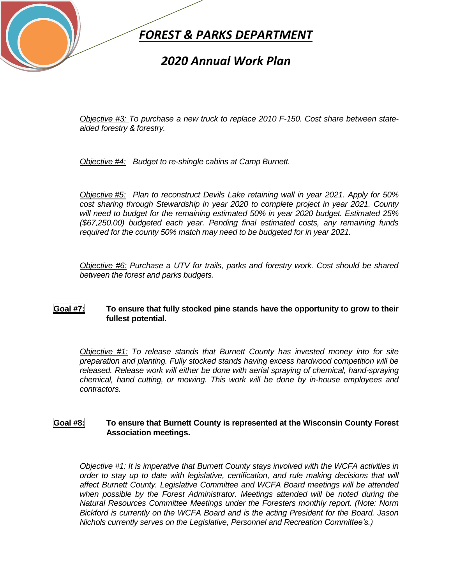

## *2020 Annual Work Plan*

*Objective #3: To purchase a new truck to replace 2010 F-150. Cost share between stateaided forestry & forestry.*

*Objective #4: Budget to re-shingle cabins at Camp Burnett.*

*Objective #5: Plan to reconstruct Devils Lake retaining wall in year 2021. Apply for 50% cost sharing through Stewardship in year 2020 to complete project in year 2021. County will need to budget for the remaining estimated 50% in year 2020 budget. Estimated 25% (\$67,250.00) budgeted each year. Pending final estimated costs, any remaining funds required for the county 50% match may need to be budgeted for in year 2021.* 

*Objective #6: Purchase a UTV for trails, parks and forestry work. Cost should be shared between the forest and parks budgets.* 

### **Goal #7: To ensure that fully stocked pine stands have the opportunity to grow to their fullest potential.**

*Objective #1: To release stands that Burnett County has invested money into for site preparation and planting. Fully stocked stands having excess hardwood competition will be released. Release work will either be done with aerial spraying of chemical, hand-spraying chemical, hand cutting, or mowing. This work will be done by in-house employees and contractors.* 

#### **Goal #8: To ensure that Burnett County is represented at the Wisconsin County Forest Association meetings.**

*Objective #1: It is imperative that Burnett County stays involved with the WCFA activities in order to stay up to date with legislative, certification, and rule making decisions that will affect Burnett County. Legislative Committee and WCFA Board meetings will be attended when possible by the Forest Administrator. Meetings attended will be noted during the Natural Resources Committee Meetings under the Foresters monthly report. (Note: Norm Bickford is currently on the WCFA Board and is the acting President for the Board. Jason Nichols currently serves on the Legislative, Personnel and Recreation Committee's.)*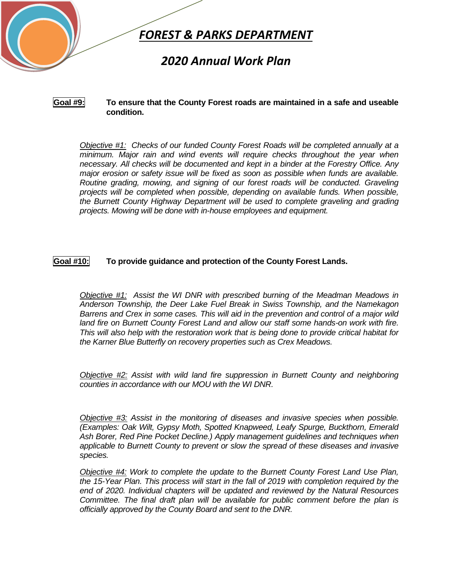

## *2020 Annual Work Plan*

#### **Goal #9: To ensure that the County Forest roads are maintained in a safe and useable condition.**

*Objective #1: Checks of our funded County Forest Roads will be completed annually at a minimum. Major rain and wind events will require checks throughout the year when necessary. All checks will be documented and kept in a binder at the Forestry Office. Any major erosion or safety issue will be fixed as soon as possible when funds are available. Routine grading, mowing, and signing of our forest roads will be conducted. Graveling projects will be completed when possible, depending on available funds. When possible, the Burnett County Highway Department will be used to complete graveling and grading projects. Mowing will be done with in-house employees and equipment.*

### **Goal #10: To provide guidance and protection of the County Forest Lands.**

*Objective #1: Assist the WI DNR with prescribed burning of the Meadman Meadows in Anderson Township, the Deer Lake Fuel Break in Swiss Township, and the Namekagon Barrens and Crex in some cases. This will aid in the prevention and control of a major wild land fire on Burnett County Forest Land and allow our staff some hands-on work with fire. This will also help with the restoration work that is being done to provide critical habitat for the Karner Blue Butterfly on recovery properties such as Crex Meadows.* 

*Objective #2: Assist with wild land fire suppression in Burnett County and neighboring counties in accordance with our MOU with the WI DNR.*

*Objective #3: Assist in the monitoring of diseases and invasive species when possible. (Examples: Oak Wilt, Gypsy Moth, Spotted Knapweed, Leafy Spurge, Buckthorn, Emerald Ash Borer, Red Pine Pocket Decline.) Apply management guidelines and techniques when applicable to Burnett County to prevent or slow the spread of these diseases and invasive species.* 

*Objective #4: Work to complete the update to the Burnett County Forest Land Use Plan, the 15-Year Plan. This process will start in the fall of 2019 with completion required by the end of 2020. Individual chapters will be updated and reviewed by the Natural Resources Committee. The final draft plan will be available for public comment before the plan is officially approved by the County Board and sent to the DNR.*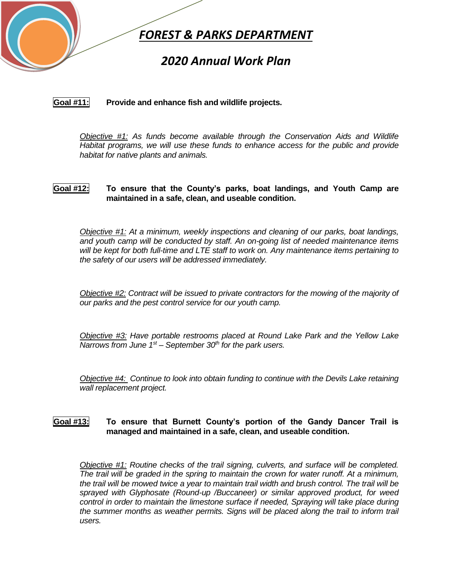

## *2020 Annual Work Plan*

**Goal #11: Provide and enhance fish and wildlife projects.**

*Objective #1: As funds become available through the Conservation Aids and Wildlife Habitat programs, we will use these funds to enhance access for the public and provide habitat for native plants and animals.* 

### **Goal #12: To ensure that the County's parks, boat landings, and Youth Camp are maintained in a safe, clean, and useable condition.**

*Objective #1: At a minimum, weekly inspections and cleaning of our parks, boat landings, and youth camp will be conducted by staff. An on-going list of needed maintenance items will be kept for both full-time and LTE staff to work on. Any maintenance items pertaining to the safety of our users will be addressed immediately.*

*Objective #2: Contract will be issued to private contractors for the mowing of the majority of our parks and the pest control service for our youth camp.*

*Objective #3: Have portable restrooms placed at Round Lake Park and the Yellow Lake Narrows from June 1st – September 30th for the park users.*

*Objective #4: Continue to look into obtain funding to continue with the Devils Lake retaining wall replacement project.*

### **Goal #13: To ensure that Burnett County's portion of the Gandy Dancer Trail is managed and maintained in a safe, clean, and useable condition.**

*Objective #1: Routine checks of the trail signing, culverts, and surface will be completed. The trail will be graded in the spring to maintain the crown for water runoff. At a minimum, the trail will be mowed twice a year to maintain trail width and brush control. The trail will be sprayed with Glyphosate (Round-up /Buccaneer) or similar approved product, for weed control in order to maintain the limestone surface if needed, Spraying will take place during the summer months as weather permits. Signs will be placed along the trail to inform trail users.*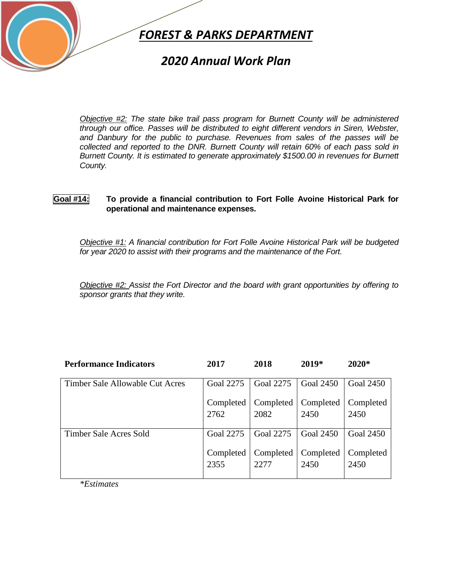

## *2020 Annual Work Plan*

*Objective #2: The state bike trail pass program for Burnett County will be administered through our office. Passes will be distributed to eight different vendors in Siren, Webster, and Danbury for the public to purchase. Revenues from sales of the passes will be collected and reported to the DNR. Burnett County will retain 60% of each pass sold in Burnett County. It is estimated to generate approximately \$1500.00 in revenues for Burnett County.* 

### **Goal #14: To provide a financial contribution to Fort Folle Avoine Historical Park for operational and maintenance expenses.**

*Objective #1: A financial contribution for Fort Folle Avoine Historical Park will be budgeted for year 2020 to assist with their programs and the maintenance of the Fort.* 

*Objective #2: Assist the Fort Director and the board with grant opportunities by offering to sponsor grants that they write.*

| <b>Performance Indicators</b>   | 2017      | 2018      | 2019*            | $2020*$          |
|---------------------------------|-----------|-----------|------------------|------------------|
| Timber Sale Allowable Cut Acres | Goal 2275 | Goal 2275 | <b>Goal 2450</b> | Goal 2450        |
|                                 | Completed | Completed | Completed        | Completed        |
|                                 | 2762      | 2082      | 2450             | 2450             |
| Timber Sale Acres Sold          | Goal 2275 | Goal 2275 | <b>Goal 2450</b> | <b>Goal 2450</b> |
|                                 | Completed | Completed | Completed        | Completed        |
|                                 | 2355      | 2277      | 2450             | 2450             |

*\*Estimates*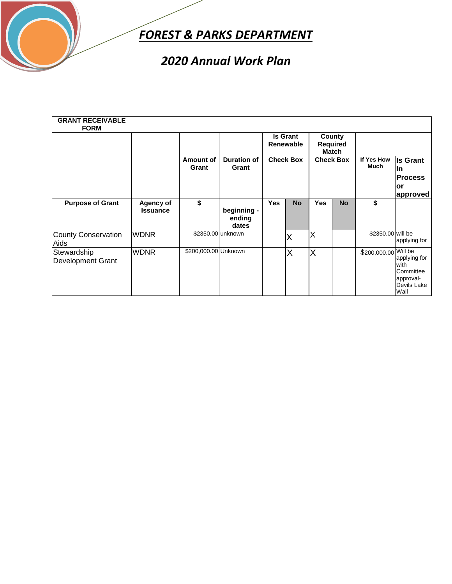

# *2020 Annual Work Plan*

| <b>GRANT RECEIVABLE</b><br><b>FORM</b>  |                              |                      |                                |            | <b>Is Grant</b><br><b>Renewable</b> |            | County<br><b>Required</b><br>Match |                      |                                                                       |
|-----------------------------------------|------------------------------|----------------------|--------------------------------|------------|-------------------------------------|------------|------------------------------------|----------------------|-----------------------------------------------------------------------|
|                                         |                              | Amount of<br>Grant   | <b>Duration of</b><br>Grant    |            | <b>Check Box</b>                    |            | <b>Check Box</b>                   | If Yes How<br>Much   | <b>Is Grant</b><br>lln<br><b>Process</b><br>lor<br>approved           |
| <b>Purpose of Grant</b>                 | Agency of<br><b>Issuance</b> | \$                   | beginning -<br>ending<br>dates | <b>Yes</b> | <b>No</b>                           | <b>Yes</b> | <b>No</b>                          | \$                   |                                                                       |
| County Conservation<br>Aids             | <b>WDNR</b>                  |                      | \$2350.00 unknown              |            | X                                   | ΙX         |                                    | \$2350.00 will be    | applying for                                                          |
| Stewardship<br><b>Development Grant</b> | <b>WDNR</b>                  | \$200,000.00 Unknown |                                |            | X                                   | X          |                                    | \$200,000.00 Will be | applying for<br>with<br>Committee<br>approval-<br>Devils Lake<br>Wall |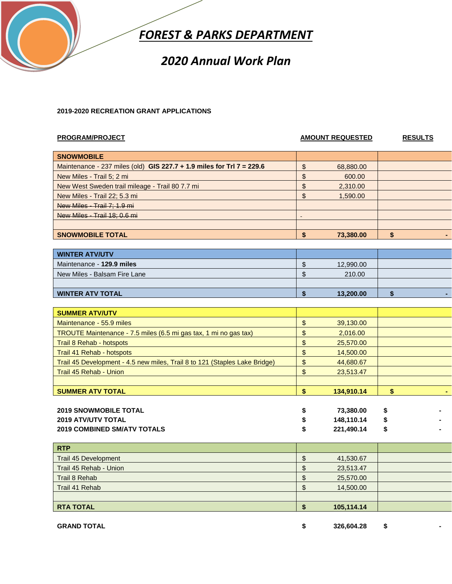

## *2020 Annual Work Plan*

#### **2019-2020 RECREATION GRANT APPLICATIONS**

#### **PROGRAM/PROJECT AMOUNT REQUESTED RESULTS**

| <b>SNOWMOBILE</b>                                                       |           |  |  |
|-------------------------------------------------------------------------|-----------|--|--|
| Maintenance - 237 miles (old) GIS 227.7 $+$ 1.9 miles for TrI 7 = 229.6 | 68,880.00 |  |  |
| New Miles - Trail 5; 2 mi                                               | 600.00    |  |  |
| New West Sweden trail mileage - Trail 80 7.7 mi                         | 2,310.00  |  |  |
| New Miles - Trail 22; 5.3 mi                                            | 1,590.00  |  |  |
| New Miles - Trail 7: 1.9 mi                                             |           |  |  |
| New Miles - Trail 18: 0.6 mi                                            |           |  |  |
|                                                                         |           |  |  |
| <b>SNOWMOBILE TOTAL</b>                                                 | 73,380.00 |  |  |
|                                                                         |           |  |  |

| <b>WINTER ATV/UTV</b>        |           |  |  |
|------------------------------|-----------|--|--|
| Maintenance - 129.9 miles    | 12,990.00 |  |  |
| New Miles - Balsam Fire Lane | 210.00    |  |  |
|                              |           |  |  |
| <b>WINTER ATV TOTAL</b>      | 13,200.00 |  |  |

| <b>SUMMER ATV/UTV</b>                                                      |                 |    |
|----------------------------------------------------------------------------|-----------------|----|
| Maintenance - 55.9 miles                                                   | 39,130.00       |    |
| TROUTE Maintenance - 7.5 miles (6.5 mi gas tax, 1 mi no gas tax)           | 2,016.00        |    |
| Trail 8 Rehab - hotspots                                                   | 25,570.00       |    |
| Trail 41 Rehab - hotspots                                                  | \$<br>14,500.00 |    |
| Trail 45 Development - 4.5 new miles, Trail 8 to 121 (Staples Lake Bridge) | 44,680.67       |    |
| Trail 45 Rehab - Union                                                     | 23,513.47       |    |
|                                                                            |                 |    |
| <b>SUMMER ATV TOTAL</b>                                                    | 134,910.14      | \$ |
|                                                                            |                 |    |
| <b>2019 SNOWMOBILE TOTAL</b>                                               | 73,380.00       | \$ |
| <b>2019 ATV/UTV TOTAL</b>                                                  | 148.110.14      |    |

| <b>2019 COMBINED SM/ATV TOTALS</b> |  | 221,490.14 |  |  |
|------------------------------------|--|------------|--|--|
| <b>RTP</b>                         |  |            |  |  |
| Trail 45 Development               |  | 41,530.67  |  |  |
| Trail 45 Rehab - Union             |  | 23,513.47  |  |  |
| Trail 8 Rehab                      |  | 25,570.00  |  |  |
| Trail 41 Rehab                     |  | 14,500.00  |  |  |

| <b>RTA TOTAL</b> | 105,114.14 |  |
|------------------|------------|--|
|                  |            |  |
|                  |            |  |

**GRAND TOTAL** \$ 326,604.28 \$